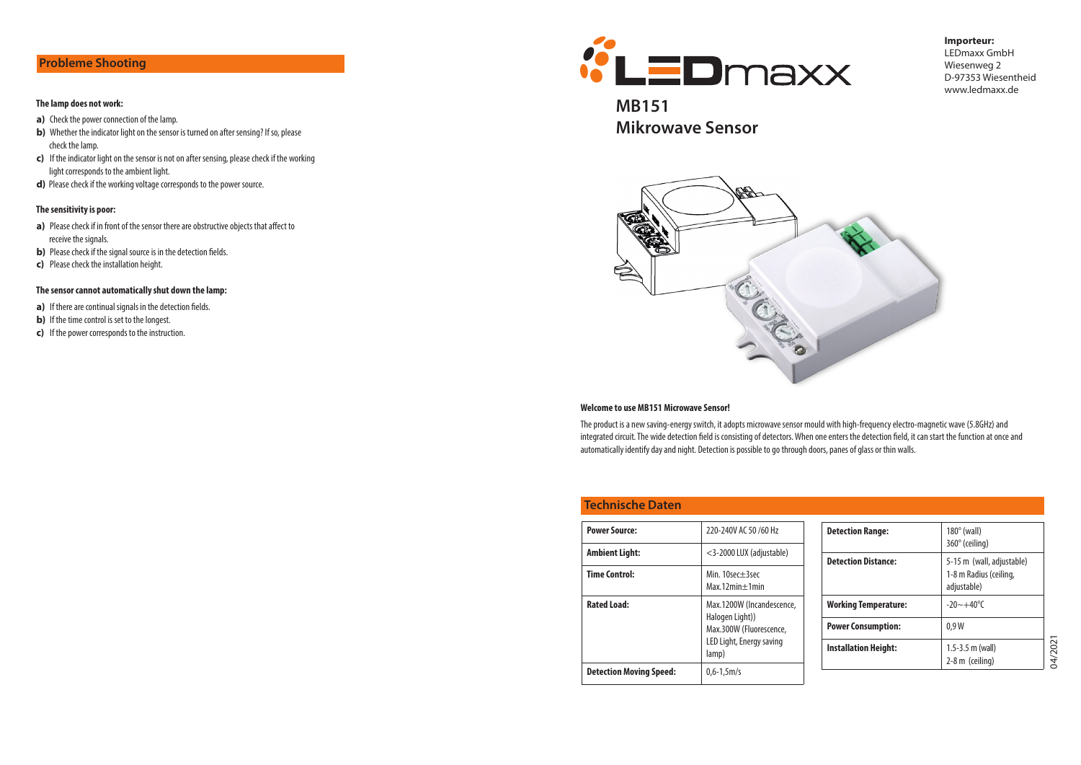# Probleme Shooting

#### The lamp does not work:

- a) Check the power connection of the lamp.
- b) Whether the indicator light on the sensor is turned on after sensing? If so, please check the lamp.
- c) If the indicator light on the sensor is not on after sensing, please check if the working light corresponds to the ambient light.
- d) Please check if the working voltage corresponds to the power source.

#### The sensitivity is poor:

- a) Please check if in front of the sensor there are obstructive objects that affect to receive the signals.
- b) Please check if the signal source is in the detection fields.
- c) Please check the installation height.

#### The sensor cannot automatically shut down the lamp:

- a) If there are continual signals in the detection fields.
- **b)** If the time control is set to the longest.
- c) If the power corresponds to the instruction.



### **Importeur:** LEDmaxx GmbH Wiesenweg 2 D-97353 Wiesentheid www.ledmaxx.de

MB151 Mikrowave Sensor



#### Welcome to use MB151 Microwave Sensor!

The product is a new saving-energy switch, it adopts microwave sensor mould with high-frequency electro-magnetic wave (5.8GHz) and integrated circuit. The wide detection field is consisting of detectors. When one enters the detection field, it can start the function at once and automatically identify day and night. Detection is possible to go through doors, panes of glass or thin walls.

## Technische Daten

| <b>Power Source:</b>           | 220-240V AC 50 /60 Hz                      | ſ |
|--------------------------------|--------------------------------------------|---|
| Ambient Light:                 | <3-2000 LUX (adjustable)                   | ſ |
| <b>Time Control:</b>           | Min. 10sec+3sec<br>$Max.12min + 1min$      |   |
| <b>Rated Load:</b>             | Max.1200W (Incandescence,                  | ١ |
|                                | Halogen Light))<br>Max.300W (Fluorescence, | F |
|                                | LED Light, Energy saving<br>lamp)          | ı |
| <b>Detection Moving Speed:</b> | $0.6 - 1.5$ m/s                            |   |
|                                |                                            |   |

| <b>Detection Range:</b>     | $180^\circ$ (wall)<br>360° (ceiling)                               |
|-----------------------------|--------------------------------------------------------------------|
| <b>Detection Distance:</b>  | 5-15 m (wall, adjustable)<br>1-8 m Radius (ceiling,<br>adjustable) |
| <b>Working Temperature:</b> | $-20 \sim +40$ °C                                                  |
| <b>Power Consumption:</b>   | 0.9W                                                               |
| Installation Height:        | $1.5 - 3.5$ m (wall)<br>$2-8$ m (ceiling)                          |

04/2021